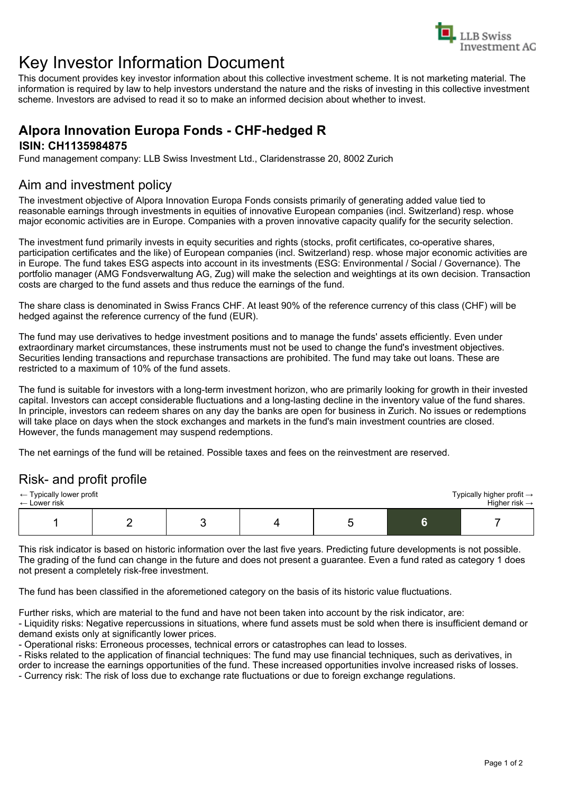

# Key Investor Information Document

This document provides key investor information about this collective investment scheme. It is not marketing material. The information is required by law to help investors understand the nature and the risks of investing in this collective investment scheme. Investors are advised to read it so to make an informed decision about whether to invest.

### **Alpora Innovation Europa Fonds - CHF-hedged R ISIN: CH1135984875**

Fund management company: LLB Swiss Investment Ltd., Claridenstrasse 20, 8002 Zurich

# Aim and investment policy

The investment objective of Alpora Innovation Europa Fonds consists primarily of generating added value tied to reasonable earnings through investments in equities of innovative European companies (incl. Switzerland) resp. whose major economic activities are in Europe. Companies with a proven innovative capacity qualify for the security selection.

The investment fund primarily invests in equity securities and rights (stocks, profit certificates, co-operative shares, participation certificates and the like) of European companies (incl. Switzerland) resp. whose major economic activities are in Europe. The fund takes ESG aspects into account in its investments (ESG: Environmental / Social / Governance). The portfolio manager (AMG Fondsverwaltung AG, Zug) will make the selection and weightings at its own decision. Transaction costs are charged to the fund assets and thus reduce the earnings of the fund.

The share class is denominated in Swiss Francs CHF. At least 90% of the reference currency of this class (CHF) will be hedged against the reference currency of the fund (EUR).

The fund may use derivatives to hedge investment positions and to manage the funds' assets efficiently. Even under extraordinary market circumstances, these instruments must not be used to change the fund's investment objectives. Securities lending transactions and repurchase transactions are prohibited. The fund may take out loans. These are restricted to a maximum of 10% of the fund assets.

The fund is suitable for investors with a long-term investment horizon, who are primarily looking for growth in their invested capital. Investors can accept considerable fluctuations and a long-lasting decline in the inventory value of the fund shares. In principle, investors can redeem shares on any day the banks are open for business in Zurich. No issues or redemptions will take place on days when the stock exchanges and markets in the fund's main investment countries are closed. However, the funds management may suspend redemptions.

The net earnings of the fund will be retained. Possible taxes and fees on the reinvestment are reserved.

### Risk- and profit profile

| $\leftarrow$ Typically lower profit |  |  |  |  |  | Typically higher profit $\rightarrow$ |
|-------------------------------------|--|--|--|--|--|---------------------------------------|
| $\leftarrow$ Lower risk             |  |  |  |  |  | Higher risk $\rightarrow$             |
|                                     |  |  |  |  |  |                                       |

This risk indicator is based on historic information over the last five years. Predicting future developments is not possible. The grading of the fund can change in the future and does not present a guarantee. Even a fund rated as category 1 does not present a completely risk-free investment.

The fund has been classified in the aforemetioned category on the basis of its historic value fluctuations.

Further risks, which are material to the fund and have not been taken into account by the risk indicator, are:

- Liquidity risks: Negative repercussions in situations, where fund assets must be sold when there is insufficient demand or demand exists only at significantly lower prices.

- Operational risks: Erroneous processes, technical errors or catastrophes can lead to losses.

- Risks related to the application of financial techniques: The fund may use financial techniques, such as derivatives, in order to increase the earnings opportunities of the fund. These increased opportunities involve increased risks of losses.

- Currency risk: The risk of loss due to exchange rate fluctuations or due to foreign exchange regulations.